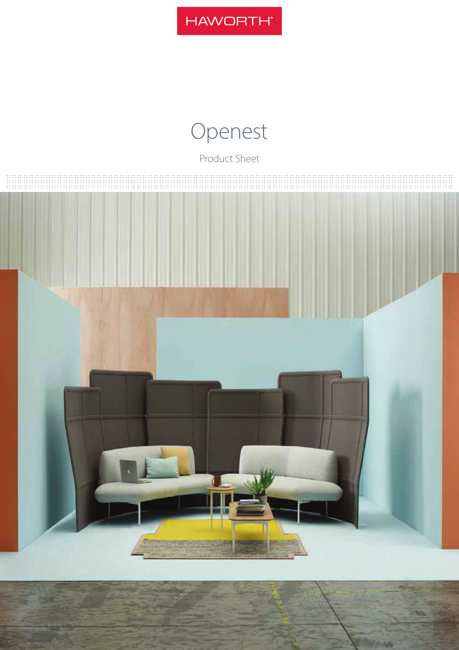

# Openest

Product Sheet

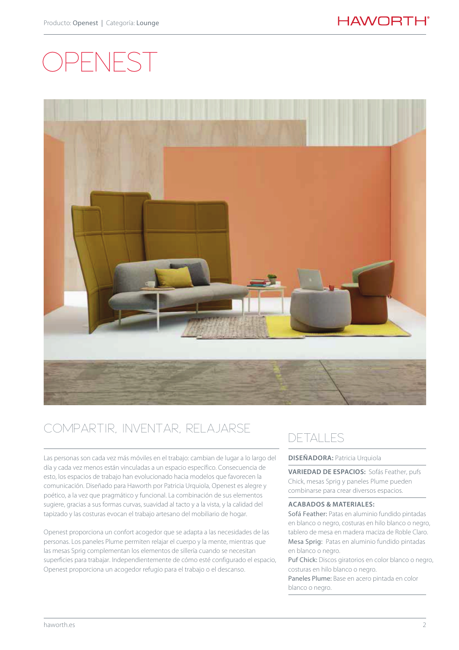# -NFS



# COMPARTIR, INVENTAR, RELAJARSE

Las personas son cada vez más móviles en el trabajo: cambian de lugar a lo largo del día y cada vez menos están vinculadas a un espacio específico. Consecuencia de esto, los espacios de trabajo han evolucionado hacia modelos que favorecen la comunicación. Diseñado para Haworth por Patricia Urquiola, Openest es alegre y poético, a la vez que pragmático y funcional. La combinación de sus elementos sugiere, gracias a sus formas curvas, suavidad al tacto y a la vista, y la calidad del tapizado y las costuras evocan el trabajo artesano del mobiliario de hogar.

Openest proporciona un confort acogedor que se adapta a las necesidades de las personas. Los paneles Plume permiten relajar el cuerpo y la mente, mientras que las mesas Sprig complementan los elementos de sillería cuando se necesitan superficies para trabajar. Independientemente de cómo esté configurado el espacio, Openest proporciona un acogedor refugio para el trabajo o el descanso.

## DETALLES

#### **DISEÑADORA: Patricia Urquiola**

**VARIEDAD DE ESPACIOS:** Sofás Feather, pufs Chick, mesas Sprig y paneles Plume pueden combinarse para crear diversos espacios.

#### **ACABADOS & MATERIALES:**

Sofá Feather: Patas en aluminio fundido pintadas en blanco o negro, costuras en hilo blanco o negro, tablero de mesa en madera maciza de Roble Claro. Mesa Sprig: Patas en aluminio fundido pintadas en blanco o negro.

Puf Chick: Discos giratorios en color blanco o negro, costuras en hilo blanco o negro. Paneles Plume: Base en acero pintada en color blanco o negro.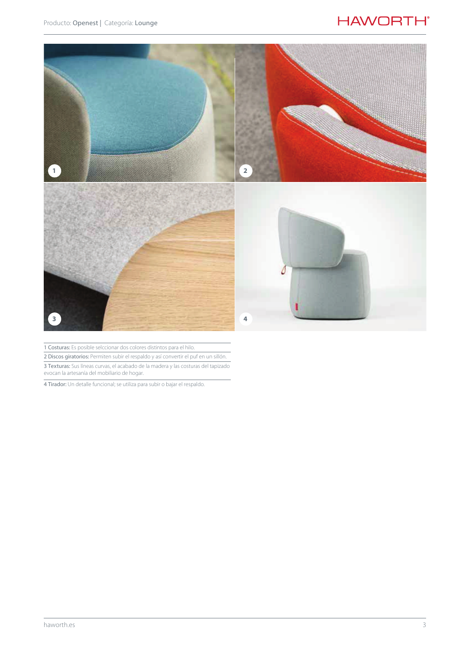### **HAWORTH®**



1 Costuras: Es posible selccionar dos colores distintos para el hilo.

2 Discos giratorios: Permiten subir el respaldo y así convertir el puf en un sillón.

3 Texturas: Sus líneas curvas, el acabado de la madera y las costuras del tapizado evocan la artesanía del mobiliario de hogar.

4 Tirador: Un detalle funcional; se utiliza para subir o bajar el respaldo.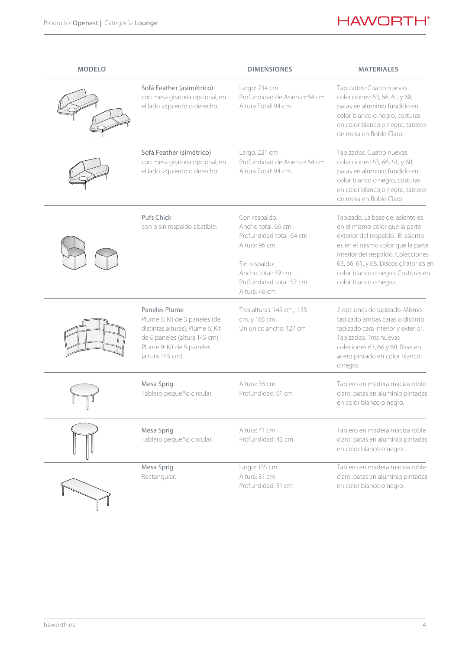## **HAWORTH**<sup>®</sup>

| <b>MODELO</b> |                                                                                                                                                                      | <b>DIMENSIONES</b>                                                                                                                                                   | <b>MATERIALES</b>                                                                                                                                                                                                                                                                          |
|---------------|----------------------------------------------------------------------------------------------------------------------------------------------------------------------|----------------------------------------------------------------------------------------------------------------------------------------------------------------------|--------------------------------------------------------------------------------------------------------------------------------------------------------------------------------------------------------------------------------------------------------------------------------------------|
|               | Sofá Feather (asimétrico)<br>con mesa giratoria opcional, en<br>el lado izquierdo o derecho.                                                                         | Largo: 234 cm<br>Profundidad de Asiento: 64 cm<br>Altura Total: 94 cm                                                                                                | Tapizados: Cuatro nuevas<br>colecciones: 63, 66, 61, y 68,<br>patas en aluminio fundido en<br>color blanco o negro, costuras<br>en color blanco o negro, tablero<br>de mesa en Roble Claro.                                                                                                |
|               | Sofá Feather (simétrico)<br>con mesa giratoria opcional, en<br>el lado izquierdo o derecho.                                                                          | Largo: 221 cm<br>Profundidad de Asiento: 64 cm<br>Altura Total: 94 cm                                                                                                | Tapizados: Cuatro nuevas<br>colecciones: 63, 66, 61, y 68,<br>patas en aluminio fundido en<br>color blanco o negro, costuras<br>en color blanco o negro, tablero<br>de mesa en Roble Claro.                                                                                                |
|               | Pufs Chick<br>con o sin respaldo abatible.                                                                                                                           | Con respaldo:<br>Ancho total: 66 cm<br>Profundidad total: 64 cm<br>Altura: 96 cm<br>Sin respaldo:<br>Ancho total: 59 cm<br>Profundidad total: 57 cm<br>Altura: 46 cm | Tapizado: La base del asiento es<br>en el mismo color que la parte<br>exterior del respaldo. El asiento<br>es en el mismo color que la parte<br>interior del respaldo. Colecciones<br>63, 66, 61, y 68. Discos giratorios en<br>color blanco o negro. Costuras en<br>color blanco o negro. |
|               | Paneles Plume<br>Plume 3: Kit de 3 paneles (de<br>distintas alturas), Plume 6: Kit<br>de 6 paneles (altura 145 cm),<br>Plume 9: Kit de 9 paneles<br>(altura 145 cm). | Tres alturas: 145 cm, 155<br>cm, y 165 cm.<br>Un único ancho: 127 cm                                                                                                 | 2 opciones de tapizado: Mismo<br>tapizado ambas caras o distinto<br>tapizado cara interior y exterior.<br>Tapizados: Tres nuevas<br>coleciones 63, 66 y 68. Base en<br>acero pintado en color blanco<br>o negro.                                                                           |
|               | Mesa Sprig<br>Tablero pequeño circular.                                                                                                                              | Altura: 36 cm<br>Profundidad: 61 cm                                                                                                                                  | Tablero en madera maciza roble<br>claro; patas en aluminio pintadas<br>en color blanco o negro.                                                                                                                                                                                            |
|               | Mesa Sprig<br>Tablero pequeño circular.                                                                                                                              | Altura: 41 cm<br>Profundidad: 43 cm                                                                                                                                  | Tablero en madera maciza roble<br>claro; patas en aluminio pintadas<br>en color blanco o negro.                                                                                                                                                                                            |
|               | Mesa Sprig<br>Rectangular.                                                                                                                                           | Largo: 135 cm<br>Altura: 31 cm<br>Profundidad: 51 cm                                                                                                                 | Tablero en madera maciza roble<br>claro; patas en aluminio pintadas<br>en color blanco o negro.                                                                                                                                                                                            |